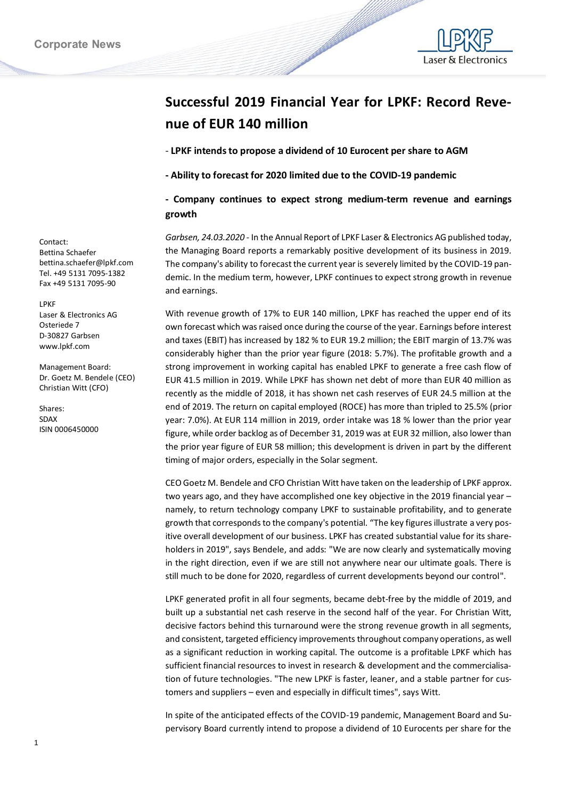

## **Successful 2019 Financial Year for LPKF: Record Revenue of EUR 140 million**

- **LPKF intends to propose a dividend of 10 Eurocent per share to AGM**

**- Ability to forecast for 2020 limited due to the COVID-19 pandemic**

**- Company continues to expect strong medium-term revenue and earnings growth** 

*Garbsen, 24.03.2020 -* In the Annual Report of LPKF Laser & Electronics AG published today, the Managing Board reports a remarkably positive development of its business in 2019. The company's ability to forecast the current year is severely limited by the COVID-19 pandemic. In the medium term, however, LPKF continues to expect strong growth in revenue and earnings.

With revenue growth of 17% to EUR 140 million, LPKF has reached the upper end of its own forecast which was raised once during the course of the year. Earnings before interest and taxes (EBIT) has increased by 182 % to EUR 19.2 million; the EBIT margin of 13.7% was considerably higher than the prior year figure (2018: 5.7%). The profitable growth and a strong improvement in working capital has enabled LPKF to generate a free cash flow of EUR 41.5 million in 2019. While LPKF has shown net debt of more than EUR 40 million as recently as the middle of 2018, it has shown net cash reserves of EUR 24.5 million at the end of 2019. The return on capital employed (ROCE) has more than tripled to 25.5% (prior year: 7.0%). At EUR 114 million in 2019, order intake was 18 % lower than the prior year figure, while order backlog as of December 31, 2019 was at EUR 32 million, also lower than the prior year figure of EUR 58 million; this development is driven in part by the different timing of major orders, especially in the Solar segment.

CEOGoetz M. Bendele and CFO Christian Witt have taken on the leadership of LPKF approx. two years ago, and they have accomplished one key objective in the 2019 financial year – namely, to return technology company LPKF to sustainable profitability, and to generate growth that corresponds to the company's potential. "The key figures illustrate a very positive overall development of our business. LPKF has created substantial value for its shareholders in 2019", says Bendele, and adds: "We are now clearly and systematically moving in the right direction, even if we are still not anywhere near our ultimate goals. There is still much to be done for 2020, regardless of current developments beyond our control".

LPKF generated profit in all four segments, became debt-free by the middle of 2019, and built up a substantial net cash reserve in the second half of the year. For Christian Witt, decisive factors behind this turnaround were the strong revenue growth in all segments, and consistent, targeted efficiency improvements throughout company operations, as well as a significant reduction in working capital. The outcome is a profitable LPKF which has sufficient financial resources to invest in research & development and the commercialisation of future technologies. "The new LPKF is faster, leaner, and a stable partner for customers and suppliers – even and especially in difficult times", says Witt.

In spite of the anticipated effects of the COVID-19 pandemic, Management Board and Supervisory Board currently intend to propose a dividend of 10 Eurocents per share for the

Contact: Bettina Schaefer bettina.schaefer@lpkf.com Tel. +49 5131 7095-1382 Fax +49 5131 7095-90

LPKF Laser & Electronics AG Osteriede 7 D-30827 Garbsen www.lpkf.com

Management Board: Dr. Goetz M. Bendele (CEO) Christian Witt (CFO)

Shares: SDAX ISIN 0006450000